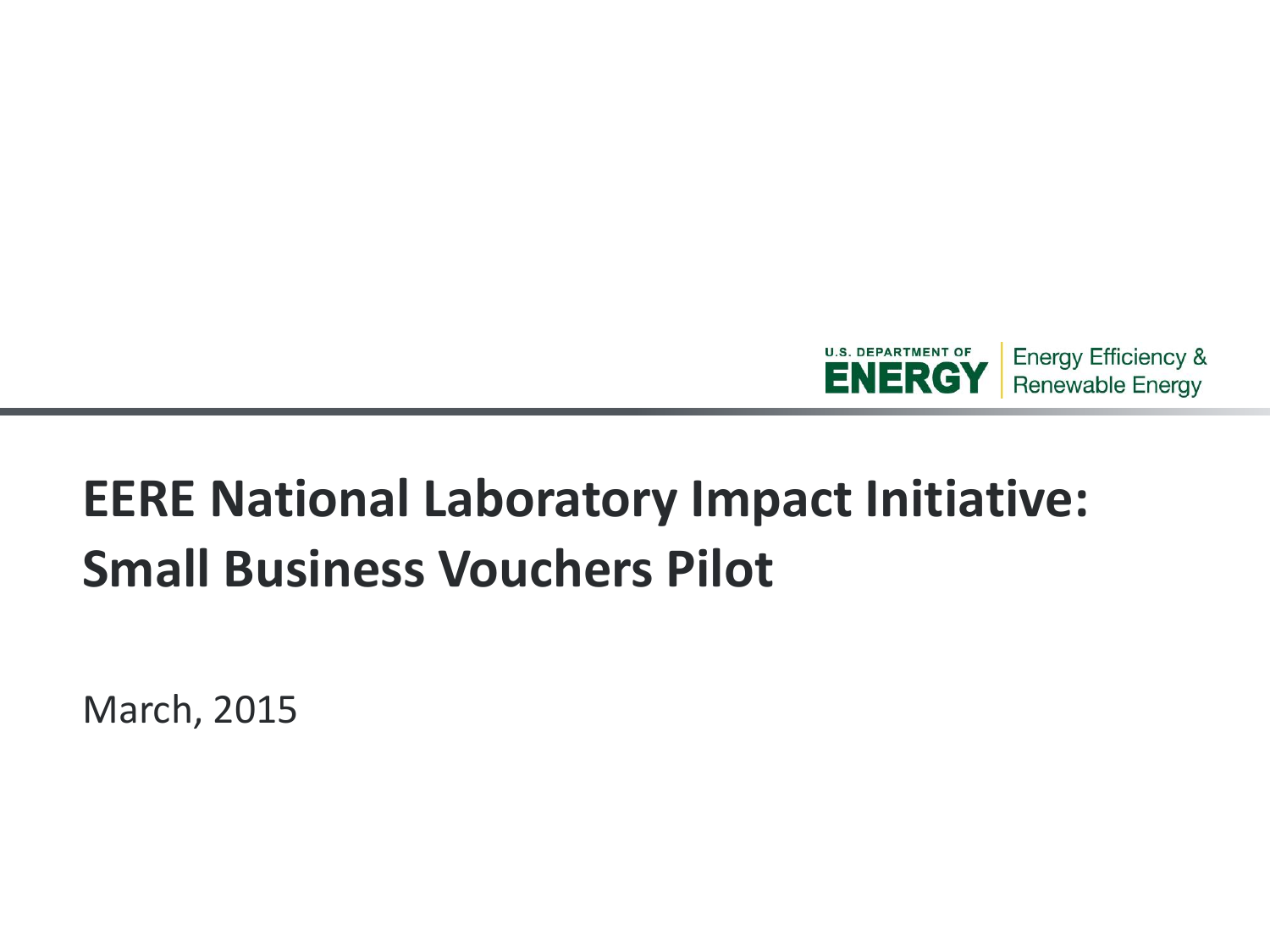

# **EERE National Laboratory Impact Initiative: Small Business Vouchers Pilot**

March, 2015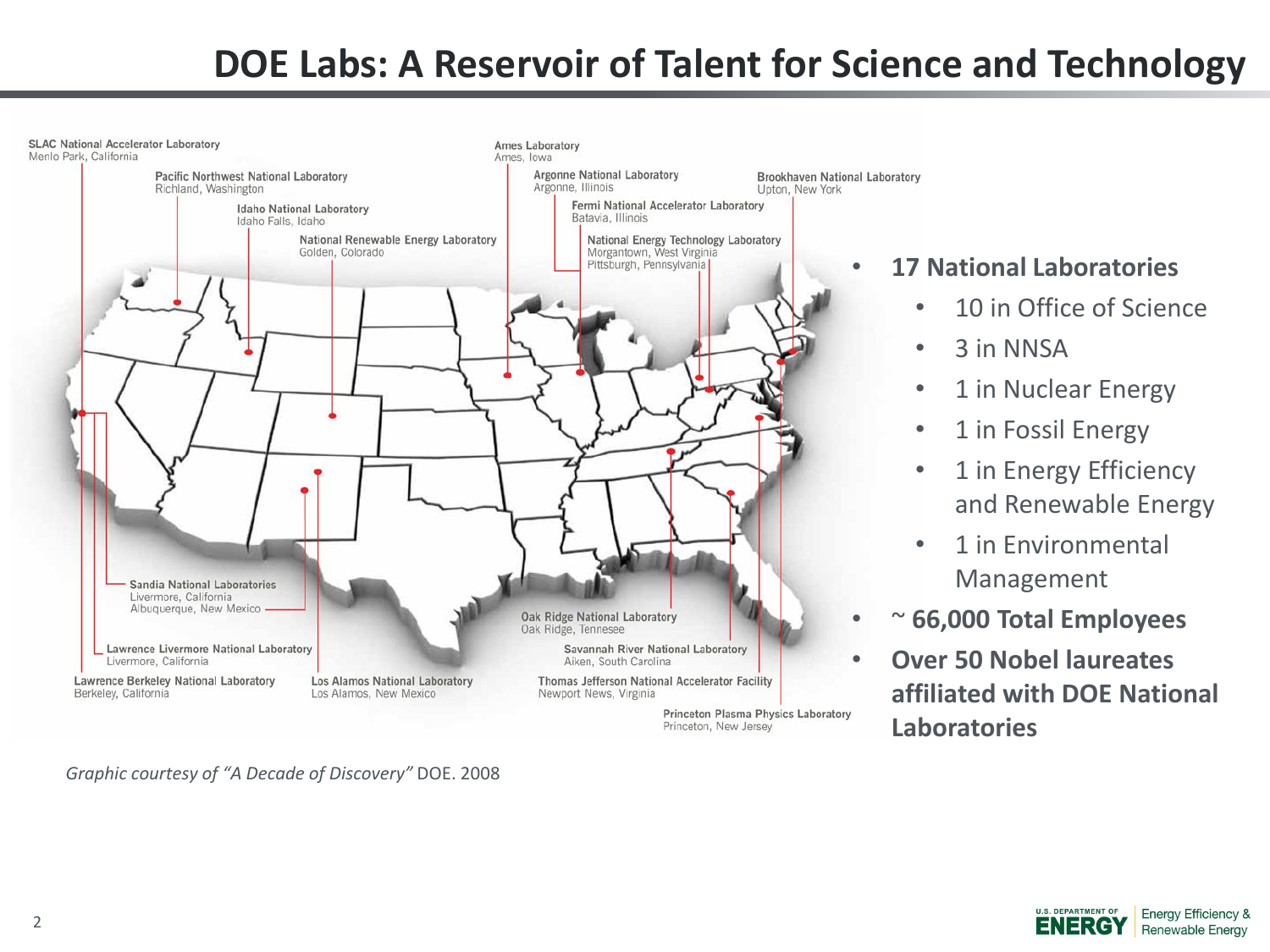#### **DOE Labs: A Reservoir of Talent for Science and Technology**



*Graphic courtesy of "A Decade of Discovery"* DOE. 2008

#### • **17 National Laboratories**

- 10 in Office of Science
- 3 in NNSA
- 1 in Nuclear Energy
- 1 in Fossil Energy
- 1 in Energy Efficiency and Renewable Energy
- 1 in Environmental Management
- ~ **66,000 Total Employees**
- **Over 50 Nobel laureates affiliated with DOE National Laboratories**

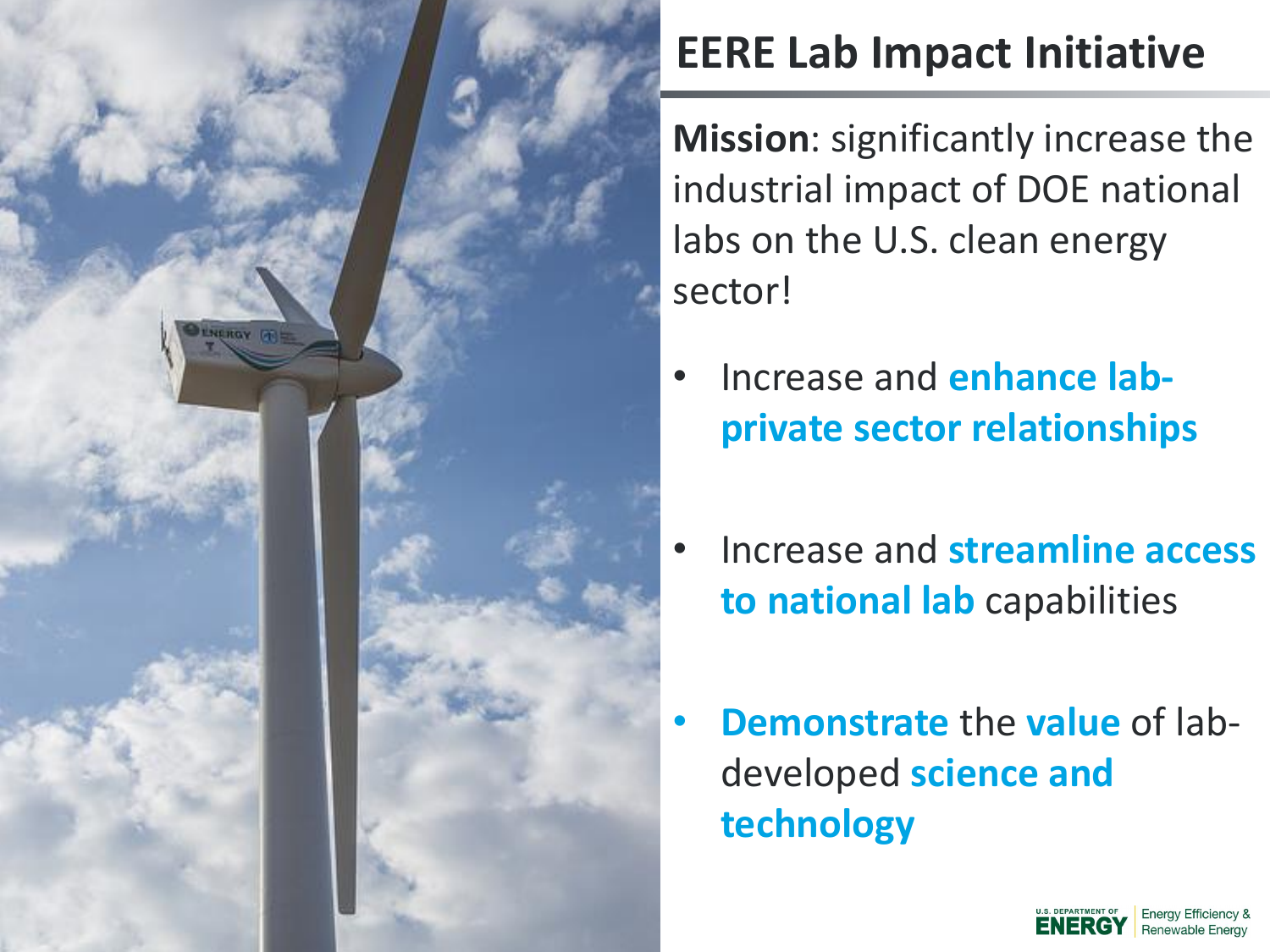## **EERE Lab Impact Initiative**

**Mission**: significantly increase the industrial impact of DOE national labs on the U.S. clean energy sector!

• Increase and **enhance labprivate sector relationships**

**NERGY FR** 

- Increase and **streamline access to national lab** capabilities
- **Demonstrate** the **value** of labdeveloped **science and technology**

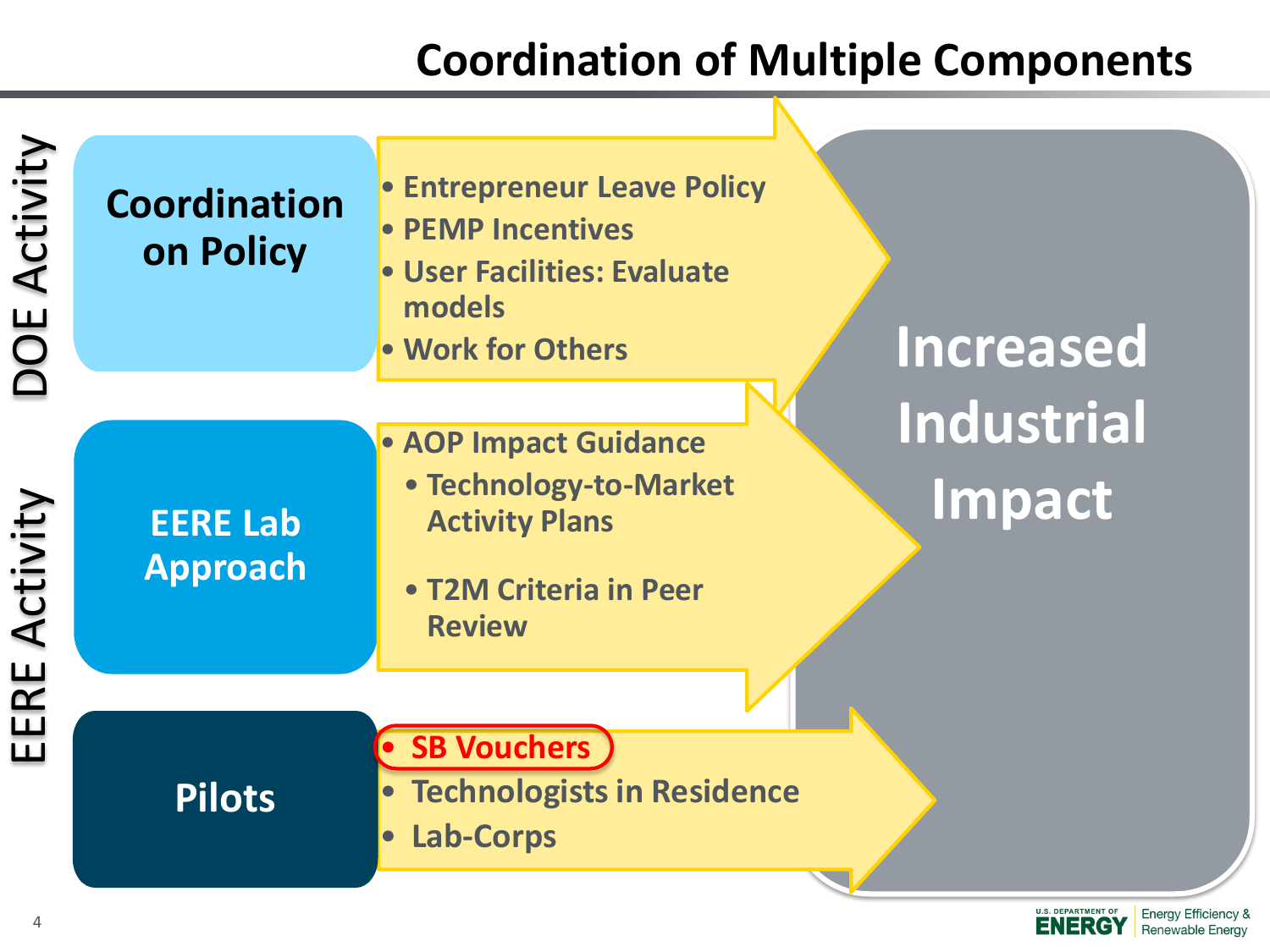#### **Coordination of Multiple Components**

**ENERGY** 

Renewable Energy

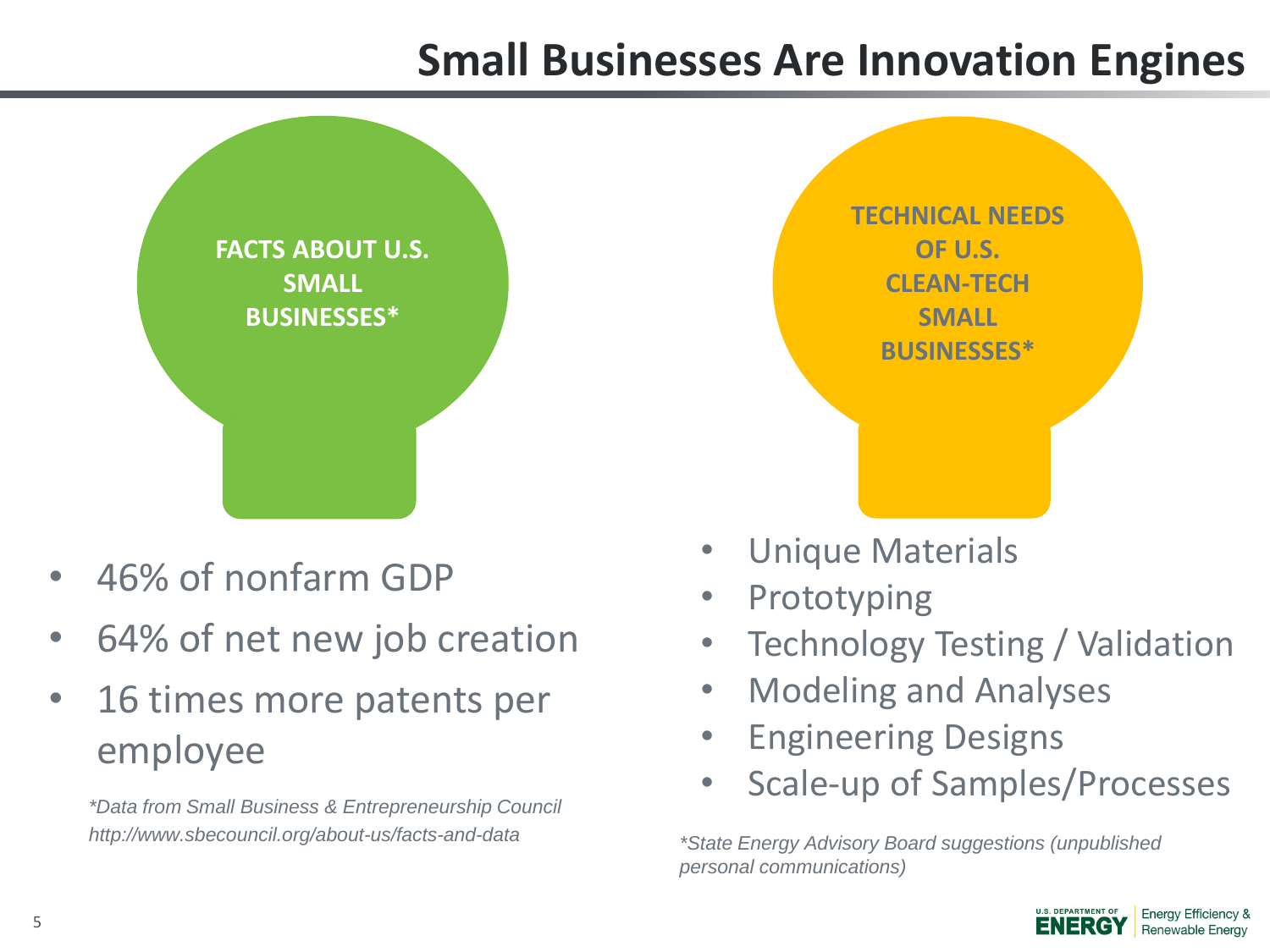#### **Small Businesses Are Innovation Engines**



- 46% of nonfarm GDP
- 64% of net new job creation
- 16 times more patents per employee

*\*Data from Small Business & Entrepreneurship Council http://www.sbecouncil.org/about-us/facts-and-data*

- Unique Materials
- **Prototyping**
- Technology Testing / Validation
- Modeling and Analyses
- Engineering Designs
- Scale-up of Samples/Processes

*\*State Energy Advisory Board suggestions (unpublished personal communications)*

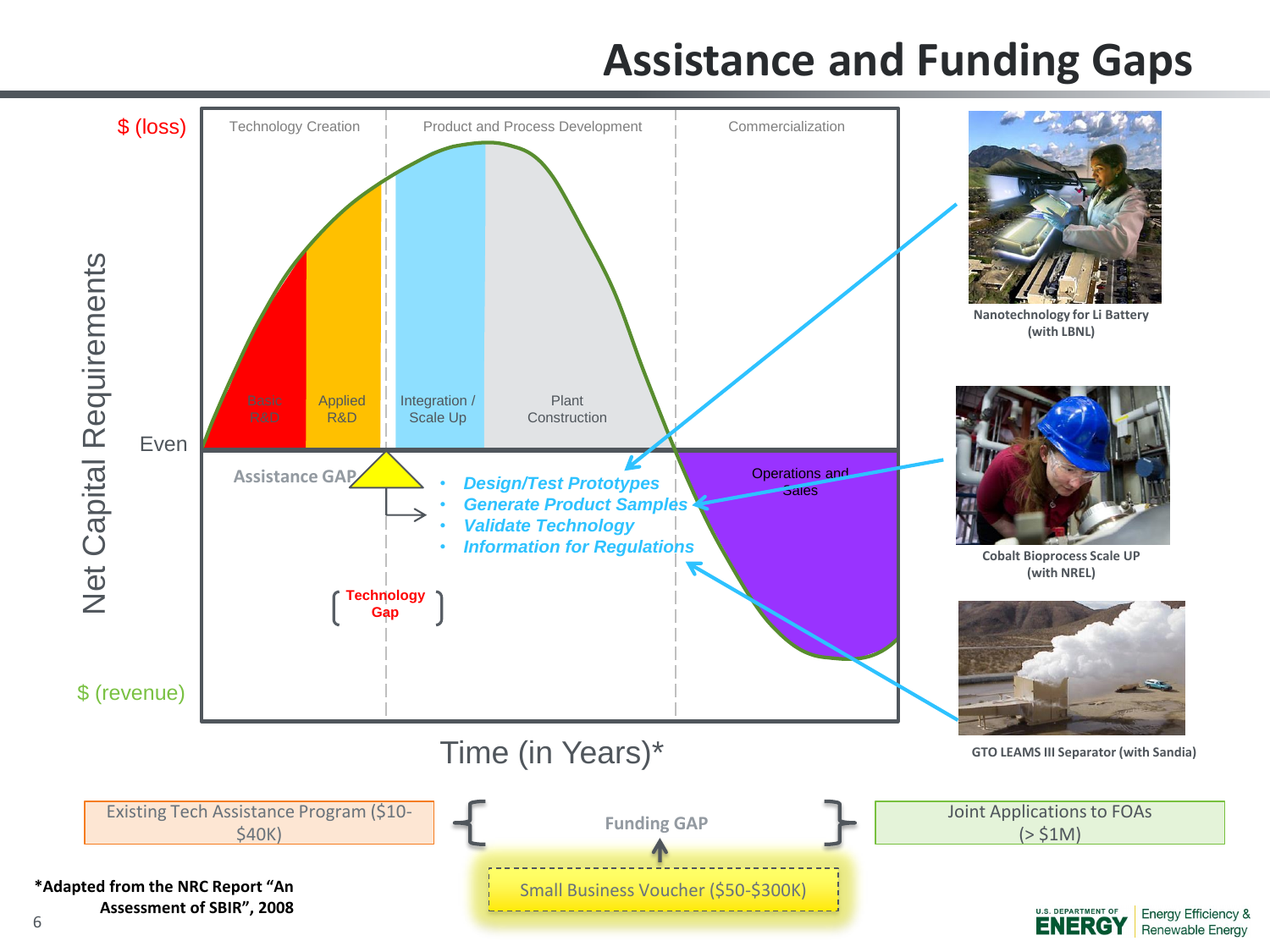#### **Assistance and Funding Gaps**

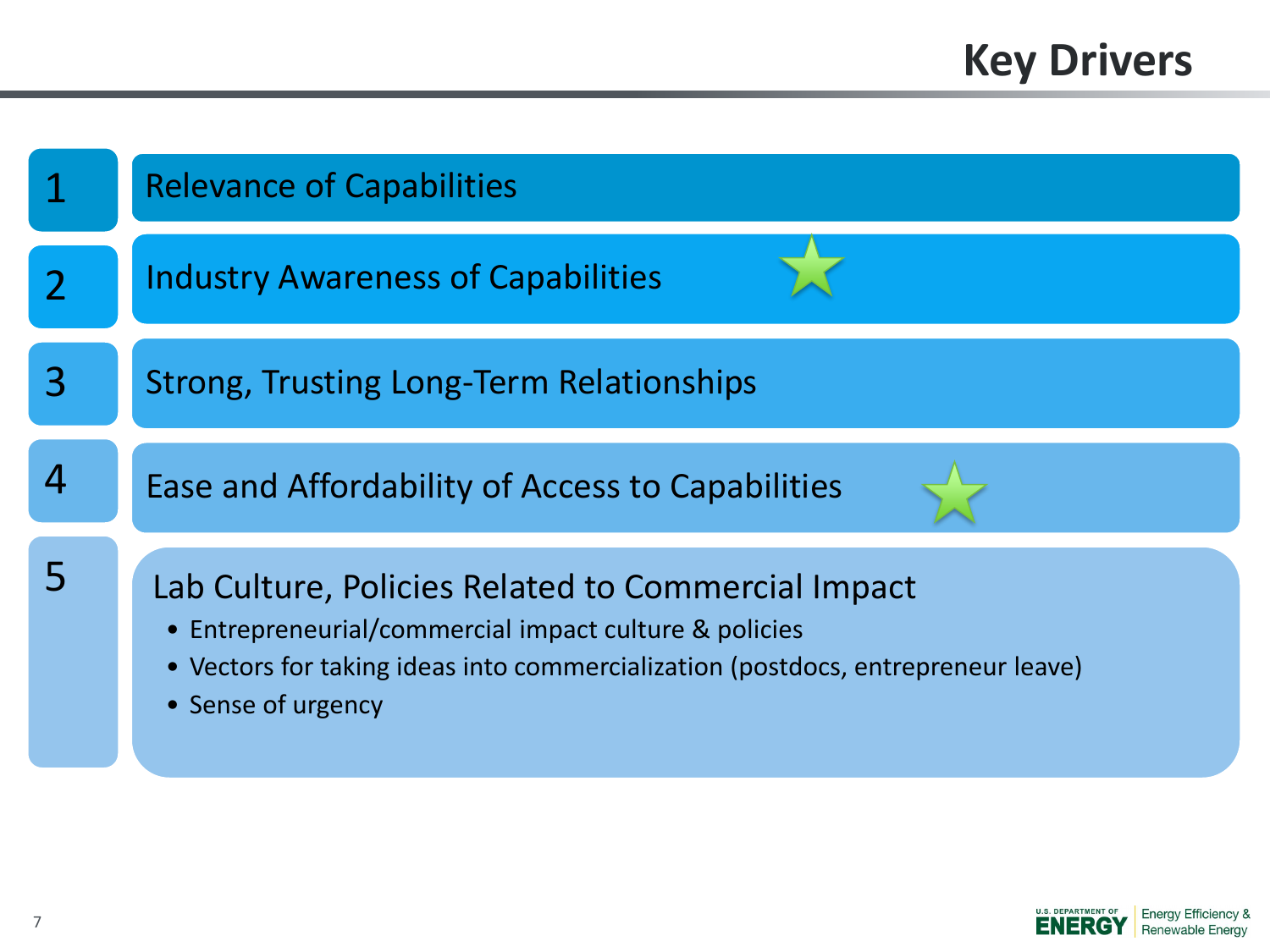## **Key Drivers**



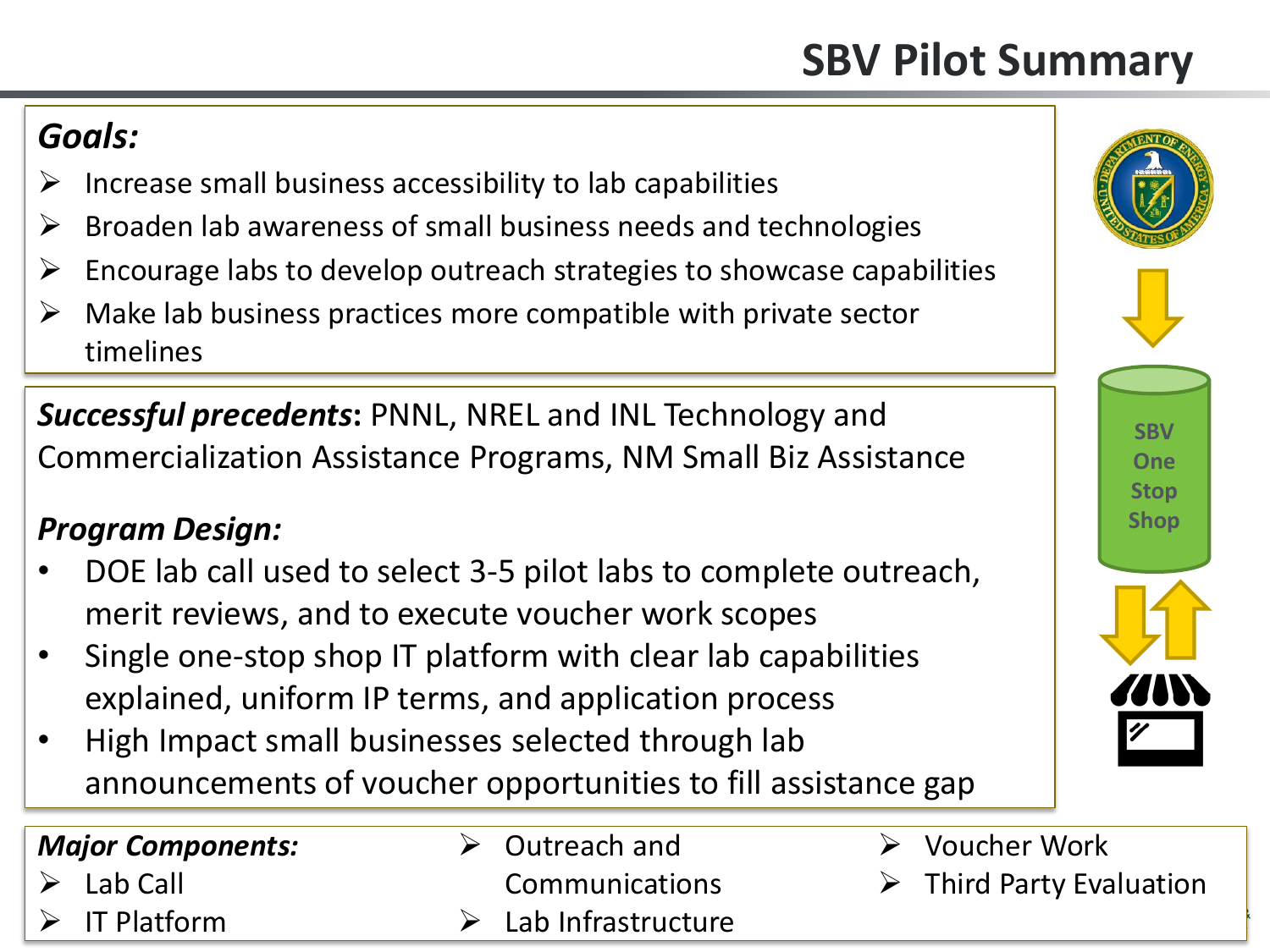## **SBV Pilot Summary**

#### *Goals:*

- $\triangleright$  Increase small business accessibility to lab capabilities
- $\triangleright$  Broaden lab awareness of small business needs and technologies
- $\triangleright$  Encourage labs to develop outreach strategies to showcase capabilities
- $\triangleright$  Make lab business practices more compatible with private sector timelines

*Successful precedents***:** PNNL, NREL and INL Technology and Commercialization Assistance Programs, NM Small Biz Assistance

#### *Program Design:*

- DOE lab call used to select 3-5 pilot labs to complete outreach, merit reviews, and to execute voucher work scopes
- Single one-stop shop IT platform with clear lab capabilities explained, uniform IP terms, and application process
- High Impact small businesses selected through lab announcements of voucher opportunities to fill assistance gap

| <b>Major Components:</b>     |  |
|------------------------------|--|
| $\triangleright$ Lab Call    |  |
| $\triangleright$ IT Platform |  |

- **►** Outreach and Communications
- Lab Infrastructure
- Voucher Work
- $\triangleright$  Third Party Evaluation

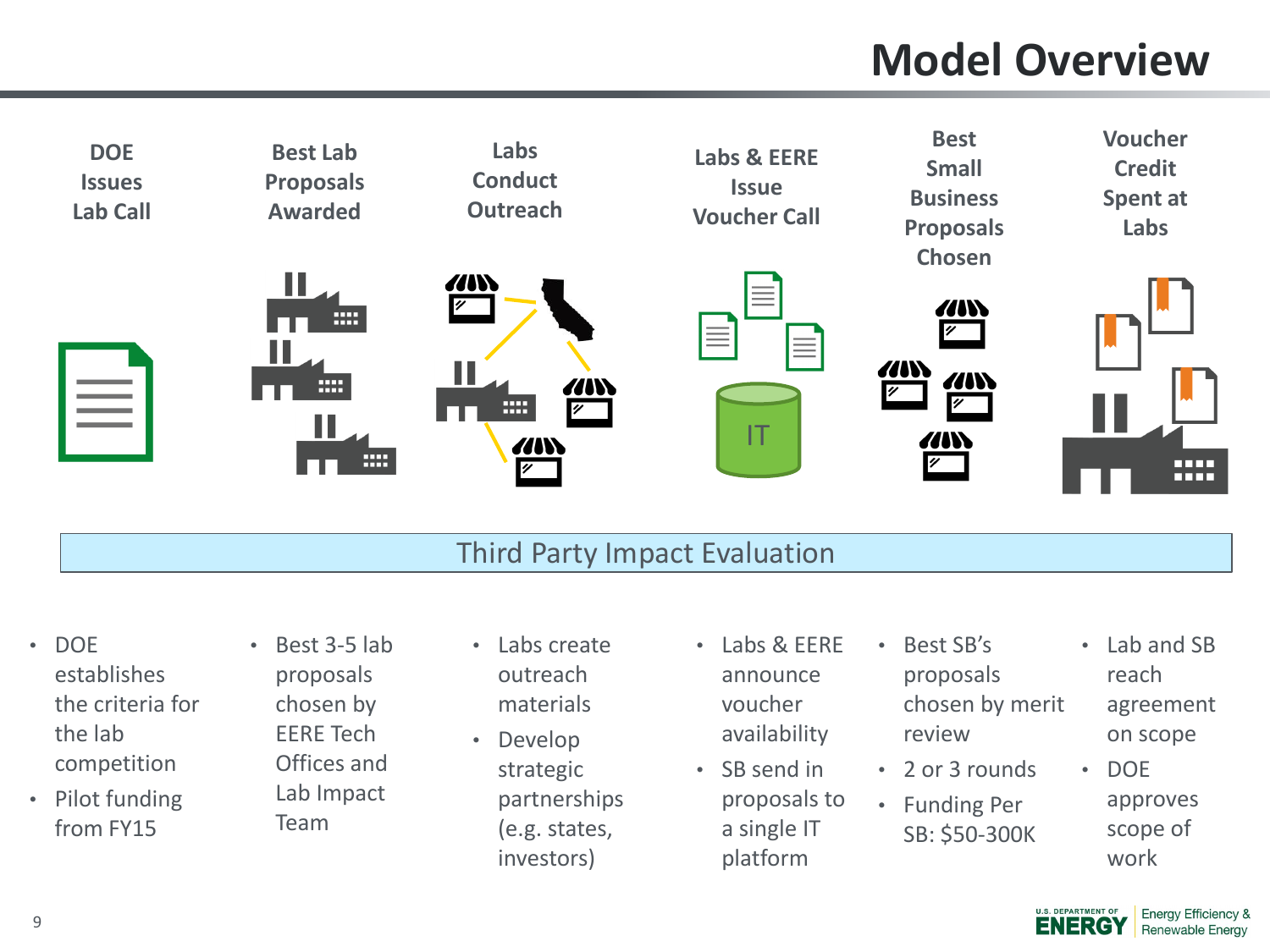## **Model Overview**



#### Third Party Impact Evaluation

- DOE establishes the criteria for the lab competition
- Pilot funding from FY15
- Best 3-5 lab proposals chosen by EERE Tech Offices and Lab Impact Team
- Labs create outreach materials
- Develop strategic partnerships (e.g. states, investors)
- Labs & EERE announce voucher availability
- SB send in proposals to a single IT platform
- Best SB's proposals chosen by merit review • 2 or 3 rounds
- Funding Per SB: \$50-300K
- Lab and SB reach agreement on scope
- DOE approves scope of work